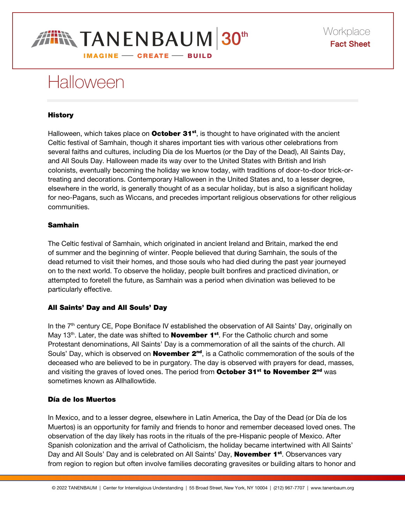

# **Halloween**

## **History**

Halloween, which takes place on **October 31**<sup>st</sup>, is thought to have originated with the ancient Celtic festival of Samhain, though it shares important ties with various other celebrations from several faiths and cultures, including Día de los Muertos (or the Day of the Dead), All Saints Day, and All Souls Day. Halloween made its way over to the United States with British and Irish colonists, eventually becoming the holiday we know today, with traditions of door-to-door trick-ortreating and decorations. Contemporary Halloween in the United States and, to a lesser degree, elsewhere in the world, is generally thought of as a secular holiday, but is also a significant holiday for neo-Pagans, such as Wiccans, and precedes important religious observations for other religious communities.

### Samhain

The Celtic festival of Samhain, which originated in ancient Ireland and Britain, marked the end of summer and the beginning of winter. People believed that during Samhain, the souls of the dead returned to visit their homes, and those souls who had died during the past year journeyed on to the next world. To observe the holiday, people built bonfires and practiced divination, or attempted to foretell the future, as Samhain was a period when divination was believed to be particularly effective.

# All Saints' Day and All Souls' Day

In the 7<sup>th</sup> century CE, Pope Boniface IV established the observation of All Saints' Day, originally on May 13<sup>th</sup>. Later, the date was shifted to **November 1<sup>st</sup>**. For the Catholic church and some Protestant denominations, All Saints' Day is a commemoration of all the saints of the church. All Souls' Day, which is observed on **November**  $2^{nd}$ , is a Catholic commemoration of the souls of the deceased who are believed to be in purgatory. The day is observed with prayers for dead, masses, and visiting the graves of loved ones. The period from **October 31<sup>st</sup> to November 2<sup>nd</sup>** was sometimes known as Allhallowtide.

# Día de los Muertos

In Mexico, and to a lesser degree, elsewhere in Latin America, the Day of the Dead (or Día de los Muertos) is an opportunity for family and friends to honor and remember deceased loved ones. The observation of the day likely has roots in the rituals of the pre-Hispanic people of Mexico. After Spanish colonization and the arrival of Catholicism, the holiday became intertwined with All Saints' Day and All Souls' Day and is celebrated on All Saints' Day, **November 1<sup>st</sup>**. Observances vary from region to region but often involve families decorating gravesites or building altars to honor and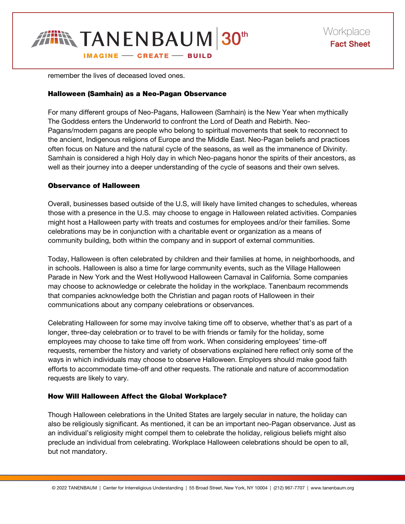

remember the lives of deceased loved ones.

#### Halloween (Samhain) as a Neo-Pagan Observance

For many different groups of Neo-Pagans, Halloween (Samhain) is the New Year when mythically The Goddess enters the Underworld to confront the Lord of Death and Rebirth. Neo-Pagans/modern pagans are people who belong to spiritual movements that seek to reconnect to the ancient, Indigenous religions of Europe and the Middle East. Neo-Pagan beliefs and practices often focus on Nature and the natural cycle of the seasons, as well as the immanence of Divinity. Samhain is considered a high Holy day in which Neo-pagans honor the spirits of their ancestors, as well as their journey into a deeper understanding of the cycle of seasons and their own selves.

#### Observance of Halloween

Overall, businesses based outside of the U.S, will likely have limited changes to schedules, whereas those with a presence in the U.S. may choose to engage in Halloween related activities. Companies might host a Halloween party with treats and costumes for employees and/or their families. Some celebrations may be in conjunction with a charitable event or organization as a means of community building, both within the company and in support of external communities.

Today, Halloween is often celebrated by children and their families at home, in neighborhoods, and in schools. Halloween is also a time for large community events, such as the Village Halloween Parade in New York and the West Hollywood Halloween Carnaval in California. Some companies may choose to acknowledge or celebrate the holiday in the workplace. Tanenbaum recommends that companies acknowledge both the Christian and pagan roots of Halloween in their communications about any company celebrations or observances.

Celebrating Halloween for some may involve taking time off to observe, whether that's as part of a longer, three-day celebration or to travel to be with friends or family for the holiday, some employees may choose to take time off from work. When considering employees' time-off requests, remember the history and variety of observations explained here reflect only some of the ways in which individuals may choose to observe Halloween. Employers should make good faith efforts to accommodate time-off and other requests. The rationale and nature of accommodation requests are likely to vary.

### How Will Halloween Affect the Global Workplace?

Though Halloween celebrations in the United States are largely secular in nature, the holiday can also be religiously significant. As mentioned, it can be an important neo-Pagan observance. Just as an individual's religiosity might compel them to celebrate the holiday, religious beliefs might also preclude an individual from celebrating. Workplace Halloween celebrations should be open to all, but not mandatory.